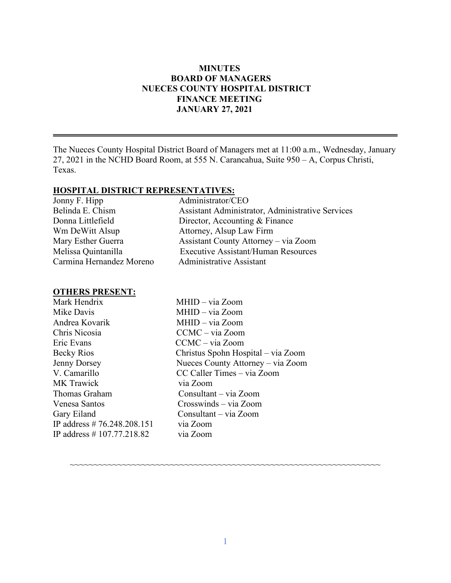### **MINUTES BOARD OF MANAGERS NUECES COUNTY HOSPITAL DISTRICT FINANCE MEETING JANUARY 27, 2021**

The Nueces County Hospital District Board of Managers met at 11:00 a.m., Wednesday, January 27, 2021 in the NCHD Board Room, at 555 N. Carancahua, Suite 950 – A, Corpus Christi, Texas.

#### **HOSPITAL DISTRICT REPRESENTATIVES:**

| Jonny F. Hipp            | Administrator/CEO                                |
|--------------------------|--------------------------------------------------|
| Belinda E. Chism         | Assistant Administrator, Administrative Services |
| Donna Littlefield        | Director, Accounting & Finance                   |
| Wm DeWitt Alsup          | Attorney, Alsup Law Firm                         |
| Mary Esther Guerra       | Assistant County Attorney - via Zoom             |
| Melissa Quintanilla      | <b>Executive Assistant/Human Resources</b>       |
| Carmina Hernandez Moreno | <b>Administrative Assistant</b>                  |

#### **OTHERS PRESENT:**

Mark Hendrix MHID – via Zoom Mike Davis MHID – via Zoom Andrea Kovarik MHID – via Zoom Chris Nicosia CCMC – via Zoom Eric Evans CCMC – via Zoom Becky Rios Christus Spohn Hospital – via Zoom Jenny Dorsey Nueces County Attorney – via Zoom MK Trawick via Zoom Thomas Graham Consultant – via Zoom Venesa Santos Crosswinds – via Zoom Gary Eiland Consultant – via Zoom IP address # 76.248.208.151 via Zoom IP address # 107.77.218.82 via Zoom

CC Caller Times – via Zoom

~~~~~~~~~~~~~~~~~~~~~~~~~~~~~~~~~~~~~~~~~~~~~~~~~~~~~~~~~~~~~~~~~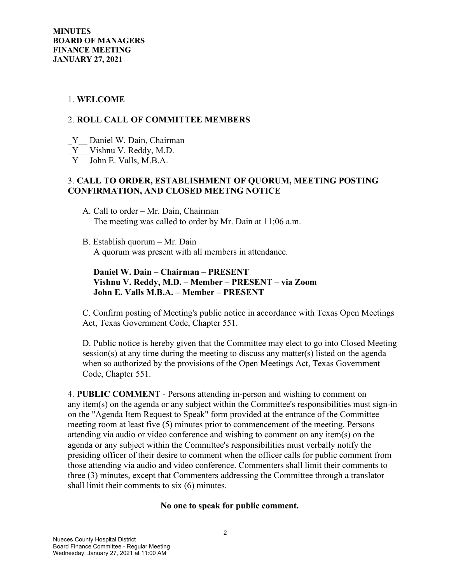## 1. **WELCOME**

## 2. **ROLL CALL OF COMMITTEE MEMBERS**

- Y Daniel W. Dain, Chairman
- \_Y\_\_ Vishnu V. Reddy, M.D.
- \_Y\_\_ John E. Valls, M.B.A.

## 3. **CALL TO ORDER, ESTABLISHMENT OF QUORUM, MEETING POSTING CONFIRMATION, AND CLOSED MEETNG NOTICE**

- A. Call to order Mr. Dain, Chairman The meeting was called to order by Mr. Dain at 11:06 a.m.
- B. Establish quorum Mr. Dain A quorum was present with all members in attendance.

## **Daniel W. Dain – Chairman – PRESENT Vishnu V. Reddy, M.D. – Member – PRESENT – via Zoom John E. Valls M.B.A. – Member – PRESENT**

C. Confirm posting of Meeting's public notice in accordance with Texas Open Meetings Act, Texas Government Code, Chapter 551.

D. Public notice is hereby given that the Committee may elect to go into Closed Meeting session(s) at any time during the meeting to discuss any matter(s) listed on the agenda when so authorized by the provisions of the Open Meetings Act, Texas Government Code, Chapter 551.

4. **PUBLIC COMMENT** - Persons attending in-person and wishing to comment on any item(s) on the agenda or any subject within the Committee's responsibilities must sign-in on the "Agenda Item Request to Speak" form provided at the entrance of the Committee meeting room at least five (5) minutes prior to commencement of the meeting. Persons attending via audio or video conference and wishing to comment on any item(s) on the agenda or any subject within the Committee's responsibilities must verbally notify the presiding officer of their desire to comment when the officer calls for public comment from those attending via audio and video conference. Commenters shall limit their comments to three (3) minutes, except that Commenters addressing the Committee through a translator shall limit their comments to six (6) minutes.

#### **No one to speak for public comment.**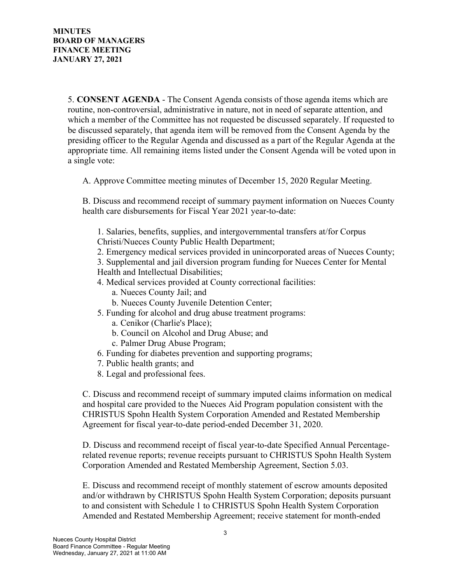5. **CONSENT AGENDA** - The Consent Agenda consists of those agenda items which are routine, non-controversial, administrative in nature, not in need of separate attention, and which a member of the Committee has not requested be discussed separately. If requested to be discussed separately, that agenda item will be removed from the Consent Agenda by the presiding officer to the Regular Agenda and discussed as a part of the Regular Agenda at the appropriate time. All remaining items listed under the Consent Agenda will be voted upon in a single vote:

A. Approve Committee meeting minutes of December 15, 2020 Regular Meeting.

B. Discuss and recommend receipt of summary payment information on Nueces County health care disbursements for Fiscal Year 2021 year-to-date:

1. Salaries, benefits, supplies, and intergovernmental transfers at/for Corpus Christi/Nueces County Public Health Department;

2. Emergency medical services provided in unincorporated areas of Nueces County;

3. Supplemental and jail diversion program funding for Nueces Center for Mental Health and Intellectual Disabilities;

- 4. Medical services provided at County correctional facilities:
	- a. Nueces County Jail; and
	- b. Nueces County Juvenile Detention Center;
- 5. Funding for alcohol and drug abuse treatment programs:
	- a. Cenikor (Charlie's Place);
	- b. Council on Alcohol and Drug Abuse; and
	- c. Palmer Drug Abuse Program;
- 6. Funding for diabetes prevention and supporting programs;
- 7. Public health grants; and
- 8. Legal and professional fees.

C. Discuss and recommend receipt of summary imputed claims information on medical and hospital care provided to the Nueces Aid Program population consistent with the CHRISTUS Spohn Health System Corporation Amended and Restated Membership Agreement for fiscal year-to-date period-ended December 31, 2020.

D. Discuss and recommend receipt of fiscal year-to-date Specified Annual Percentagerelated revenue reports; revenue receipts pursuant to CHRISTUS Spohn Health System Corporation Amended and Restated Membership Agreement, Section 5.03.

E. Discuss and recommend receipt of monthly statement of escrow amounts deposited and/or withdrawn by CHRISTUS Spohn Health System Corporation; deposits pursuant to and consistent with Schedule 1 to CHRISTUS Spohn Health System Corporation Amended and Restated Membership Agreement; receive statement for month-ended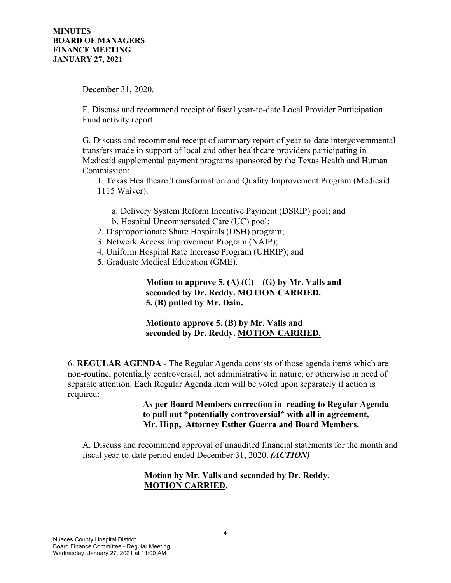December 31, 2020.

F. Discuss and recommend receipt of fiscal year-to-date Local Provider Participation Fund activity report.

G. Discuss and recommend receipt of summary report of year-to-date intergovernmental transfers made in support of local and other healthcare providers participating in Medicaid supplemental payment programs sponsored by the Texas Health and Human Commission:

1. Texas Healthcare Transformation and Quality Improvement Program (Medicaid 1115 Waiver):

- a. Delivery System Reform Incentive Payment (DSRIP) pool; and b. Hospital Uncompensated Care (UC) pool;
- 2. Disproportionate Share Hospitals (DSH) program;
- 3. Network Access Improvement Program (NAIP);
- 4. Uniform Hospital Rate Increase Program (UHRIP); and
- 5. Graduate Medical Education (GME).

**Motion to approve 5.** (A)  $(C) - (G)$  by Mr. Valls and  **seconded by Dr. Reddy. MOTION CARRIED. 5. (B) pulled by Mr. Dain.** 

# **Motionto approve 5. (B) by Mr. Valls and seconded by Dr. Reddy. MOTION CARRIED.**

6. **REGULAR AGENDA** - The Regular Agenda consists of those agenda items which are non-routine, potentially controversial, not administrative in nature, or otherwise in need of separate attention. Each Regular Agenda item will be voted upon separately if action is required:

#### **As per Board Members correction in reading to Regular Agenda to pull out \*potentially controversial\* with all in agreement, Mr. Hipp, Attorney Esther Guerra and Board Members.**

A. Discuss and recommend approval of unaudited financial statements for the month and fiscal year-to-date period ended December 31, 2020. *(ACTION)*

# **Motion by Mr. Valls and seconded by Dr. Reddy. MOTION CARRIED.**